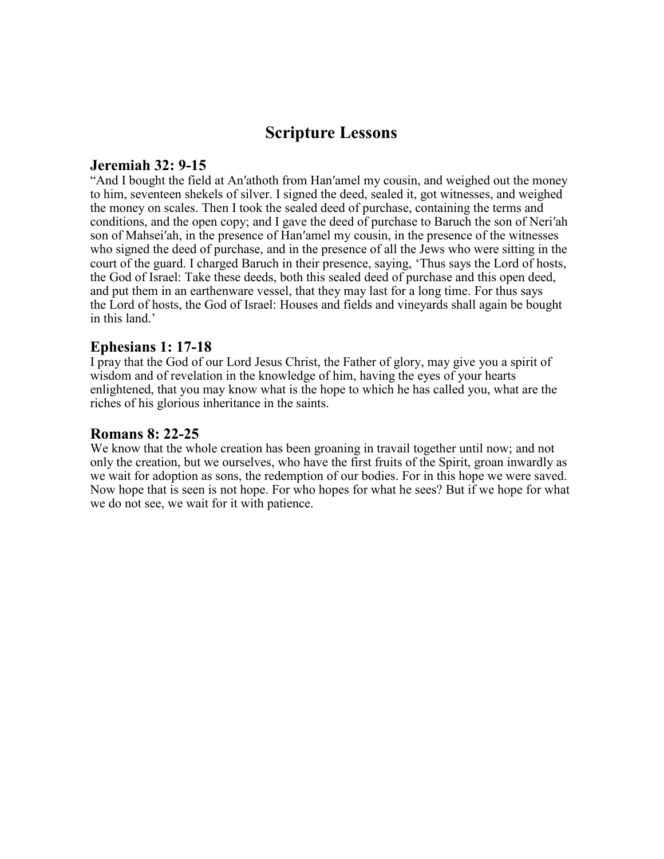# **Scripture Lessons**

### **Jeremiah 32: 9-15**

"And I bought the field at An′athoth from Han′amel my cousin, and weighed out the money to him, seventeen shekels of silver. I signed the deed, sealed it, got witnesses, and weighed the money on scales. Then I took the sealed deed of purchase, containing the terms and conditions, and the open copy; and I gave the deed of purchase to Baruch the son of Neri′ah son of Mahsei′ah, in the presence of Han′amel my cousin, in the presence of the witnesses who signed the deed of purchase, and in the presence of all the Jews who were sitting in the court of the guard. I charged Baruch in their presence, saying, 'Thus says the Lord of hosts, the God of Israel: Take these deeds, both this sealed deed of purchase and this open deed, and put them in an earthenware vessel, that they may last for a long time. For thus says the Lord of hosts, the God of Israel: Houses and fields and vineyards shall again be bought in this land.'

## **Ephesians 1: 17-18**

I pray that the God of our Lord Jesus Christ, the Father of glory, may give you a spirit of wisdom and of revelation in the knowledge of him, having the eyes of your hearts enlightened, that you may know what is the hope to which he has called you, what are the riches of his glorious inheritance in the saints.

#### **Romans 8: 22-25**

We know that the whole creation has been groaning in travail together until now; and not only the creation, but we ourselves, who have the first fruits of the Spirit, groan inwardly as we wait for adoption as sons, the redemption of our bodies. For in this hope we were saved. Now hope that is seen is not hope. For who hopes for what he sees? But if we hope for what we do not see, we wait for it with patience.